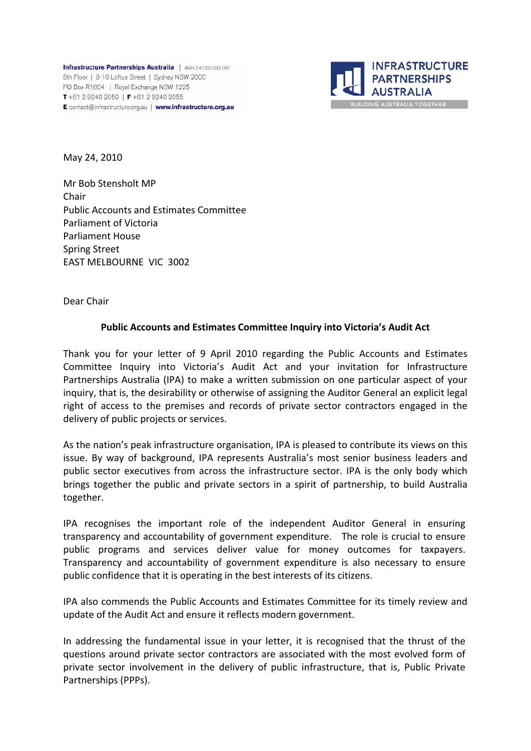**Infrastructure Partnerships Australia** | ABN 54 050 036 041 8th Floor | 8-10 Loftus Street | Sydney NSW 2000 PO Box R1804 | Royal Exchange NSW 1225 T +61 2 9240 2050 | F +61 2 9240 2055 E contact@infrastructure.org.au | www.infrastructure.org.au



May 24, 2010

Mr Bob Stensholt MP Chair Public Accounts and Estimates Committee Parliament of Victoria Parliament House Spring Street EAST MELBOURNE VIC 3002

Dear Chair

### **Public Accounts and Estimates Committee Inquiry into Victoria's Audit Act**

Thank you for your letter of 9 April 2010 regarding the Public Accounts and Estimates Committee Inquiry into Victoria's Audit Act and your invitation for Infrastructure Partnerships Australia (IPA) to make a written submission on one particular aspect of your inquiry, that is, the desirability or otherwise of assigning the Auditor General an explicit legal right of access to the premises and records of private sector contractors engaged in the delivery of public projects or services.

As the nation's peak infrastructure organisation, IPA is pleased to contribute its views on this issue. By way of background, IPA represents Australia's most senior business leaders and public sector executives from across the infrastructure sector. IPA is the only body which brings together the public and private sectors in a spirit of partnership, to build Australia together.

IPA recognises the important role of the independent Auditor General in ensuring transparency and accountability of government expenditure. The role is crucial to ensure public programs and services deliver value for money outcomes for taxpayers. Transparency and accountability of government expenditure is also necessary to ensure public confidence that it is operating in the best interests of its citizens.

IPA also commends the Public Accounts and Estimates Committee for its timely review and update of the Audit Act and ensure it reflects modern government.

In addressing the fundamental issue in your letter, it is recognised that the thrust of the questions around private sector contractors are associated with the most evolved form of private sector involvement in the delivery of public infrastructure, that is, Public Private Partnerships (PPPs).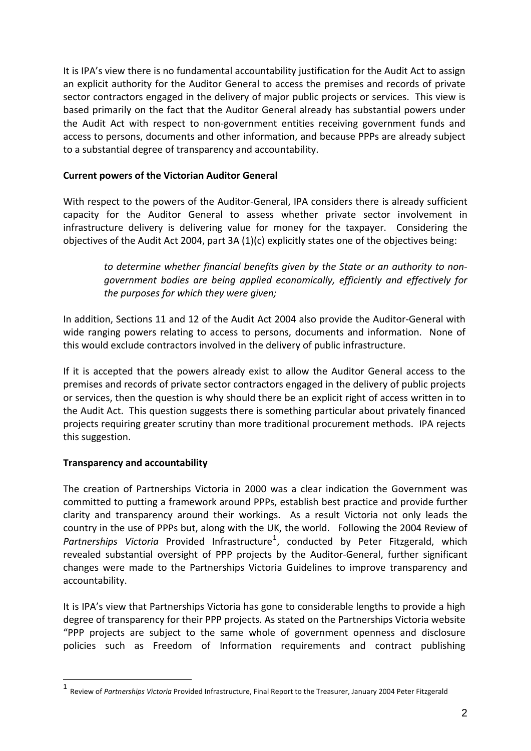It is IPA's view there is no fundamental accountability justification for the Audit Act to assign an explicit authority for the Auditor General to access the premises and records of private sector contractors engaged in the delivery of major public projects or services. This view is based primarily on the fact that the Auditor General already has substantial powers under the Audit Act with respect to non‐government entities receiving government funds and access to persons, documents and other information, and because PPPs are already subject to a substantial degree of transparency and accountability.

### **Current powers of the Victorian Auditor General**

With respect to the powers of the Auditor-General, IPA considers there is already sufficient capacity for the Auditor General to assess whether private sector involvement in infrastructure delivery is delivering value for money for the taxpayer. Considering the objectives of the Audit Act 2004, part 3A (1)(c) explicitly states one of the objectives being:

*to determine whether financial benefits given by the State or an authority to non‐ government bodies are being applied economically, efficiently and effectively for the purposes for which they were given;*

In addition, Sections 11 and 12 of the Audit Act 2004 also provide the Auditor‐General with wide ranging powers relating to access to persons, documents and information. None of this would exclude contractors involved in the delivery of public infrastructure.

If it is accepted that the powers already exist to allow the Auditor General access to the premises and records of private sector contractors engaged in the delivery of public projects or services, then the question is why should there be an explicit right of access written in to the Audit Act. This question suggests there is something particular about privately financed projects requiring greater scrutiny than more traditional procurement methods. IPA rejects this suggestion.

# **Transparency and accountability**

1

The creation of Partnerships Victoria in 2000 was a clear indication the Government was committed to putting a framework around PPPs, establish best practice and provide further clarity and transparency around their workings. As a result Victoria not only leads the country in the use of PPPs but, along with the UK, the world. Following the 2004 Review of Partnerships Victoria Provided Infrastructure<sup>[1](#page-1-0)</sup>, conducted by Peter Fitzgerald, which revealed substantial oversight of PPP projects by the Auditor‐General, further significant changes were made to the Partnerships Victoria Guidelines to improve transparency and accountability.

It is IPA's view that Partnerships Victoria has gone to considerable lengths to provide a high degree of transparency for their PPP projects. As stated on the Partnerships Victoria website "PPP projects are subject to the same whole of government openness and disclosure policies such as Freedom of Information requirements and contract publishing

<span id="page-1-0"></span><sup>1</sup> Review of *Partnerships Victoria* Provided Infrastructure, Final Report to the Treasurer, January <sup>2004</sup> Peter Fitzgerald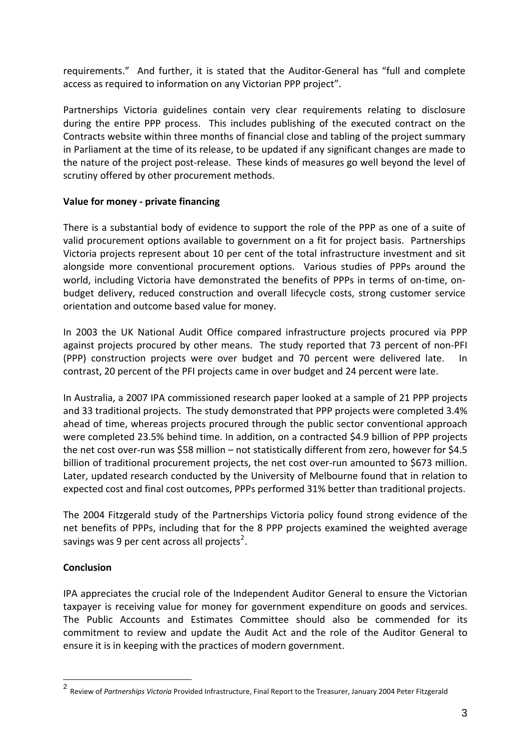requirements." And further, it is stated that the Auditor‐General has "full and complete access as required to information on any Victorian PPP project".

Partnerships Victoria guidelines contain very clear requirements relating to disclosure during the entire PPP process. This includes publishing of the executed contract on the Contracts website within three months of financial close and tabling of the project summary in Parliament at the time of its release, to be updated if any significant changes are made to the nature of the project post‐release. These kinds of measures go well beyond the level of scrutiny offered by other procurement methods.

# **Value for money ‐ private financing**

There is a substantial body of evidence to support the role of the PPP as one of a suite of valid procurement options available to government on a fit for project basis. Partnerships Victoria projects represent about 10 per cent of the total infrastructure investment and sit alongside more conventional procurement options. Various studies of PPPs around the world, including Victoria have demonstrated the benefits of PPPs in terms of on-time, onbudget delivery, reduced construction and overall lifecycle costs, strong customer service orientation and outcome based value for money.

In 2003 the UK National Audit Office compared infrastructure projects procured via PPP against projects procured by other means. The study reported that 73 percent of non‐PFI (PPP) construction projects were over budget and 70 percent were delivered late. In contrast, 20 percent of the PFI projects came in over budget and 24 percent were late.

In Australia, a 2007 IPA commissioned research paper looked at a sample of 21 PPP projects and 33 traditional projects. The study demonstrated that PPP projects were completed 3.4% ahead of time, whereas projects procured through the public sector conventional approach were completed 23.5% behind time. In addition, on a contracted \$4.9 billion of PPP projects the net cost over-run was \$58 million – not statistically different from zero, however for \$4.5 billion of traditional procurement projects, the net cost over-run amounted to \$673 million. Later, updated research conducted by the University of Melbourne found that in relation to expected cost and final cost outcomes, PPPs performed 31% better than traditional projects.

The 2004 Fitzgerald study of the Partnerships Victoria policy found strong evidence of the net benefits of PPPs, including that for the 8 PPP projects examined the weighted average savings was 9 per cent across all projects<sup>[2](#page-2-0)</sup>.

# **Conclusion**

1

IPA appreciates the crucial role of the Independent Auditor General to ensure the Victorian taxpayer is receiving value for money for government expenditure on goods and services. The Public Accounts and Estimates Committee should also be commended for its commitment to review and update the Audit Act and the role of the Auditor General to ensure it is in keeping with the practices of modern government.

<span id="page-2-0"></span><sup>2</sup> Review of *Partnerships Victoria* Provided Infrastructure, Final Report to the Treasurer, January <sup>2004</sup> Peter Fitzgerald